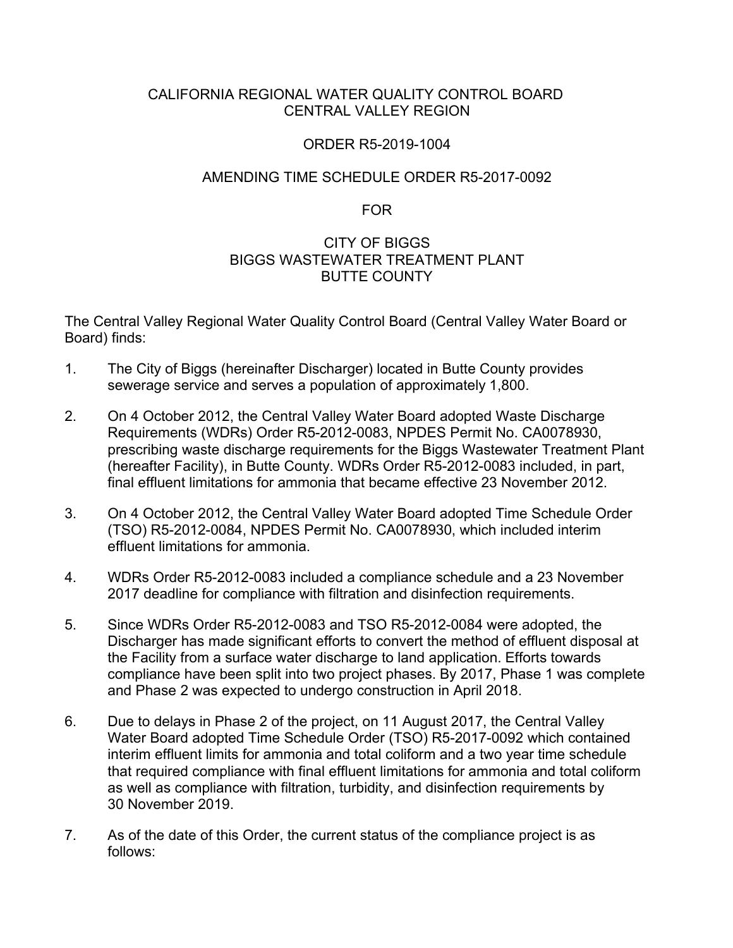# CALIFORNIA REGIONAL WATER QUALITY CONTROL BOARD CENTRAL VALLEY REGION

# ORDER R5-2019-1004

# AMENDING TIME SCHEDULE ORDER R5-2017-0092

### FOR

# CITY OF BIGGS BIGGS WASTEWATER TREATMENT PLANT BUTTE COUNTY

The Central Valley Regional Water Quality Control Board (Central Valley Water Board or Board) finds:

- 1. The City of Biggs (hereinafter Discharger) located in Butte County provides sewerage service and serves a population of approximately 1,800.
- 2. On 4 October 2012, the Central Valley Water Board adopted Waste Discharge Requirements (WDRs) Order R5-2012-0083, NPDES Permit No. CA0078930, prescribing waste discharge requirements for the Biggs Wastewater Treatment Plant (hereafter Facility), in Butte County. WDRs Order R5-2012-0083 included, in part, final effluent limitations for ammonia that became effective 23 November 2012.
- 3. On 4 October 2012, the Central Valley Water Board adopted Time Schedule Order (TSO) R5-2012-0084, NPDES Permit No. CA0078930, which included interim effluent limitations for ammonia.
- 4. WDRs Order R5-2012-0083 included a compliance schedule and a 23 November 2017 deadline for compliance with filtration and disinfection requirements.
- 5. Since WDRs Order R5-2012-0083 and TSO R5-2012-0084 were adopted, the Discharger has made significant efforts to convert the method of effluent disposal at the Facility from a surface water discharge to land application. Efforts towards compliance have been split into two project phases. By 2017, Phase 1 was complete and Phase 2 was expected to undergo construction in April 2018.
- 6. Due to delays in Phase 2 of the project, on 11 August 2017, the Central Valley Water Board adopted Time Schedule Order (TSO) R5-2017-0092 which contained interim effluent limits for ammonia and total coliform and a two year time schedule that required compliance with final effluent limitations for ammonia and total coliform as well as compliance with filtration, turbidity, and disinfection requirements by 30 November 2019.
- 7. As of the date of this Order, the current status of the compliance project is as follows: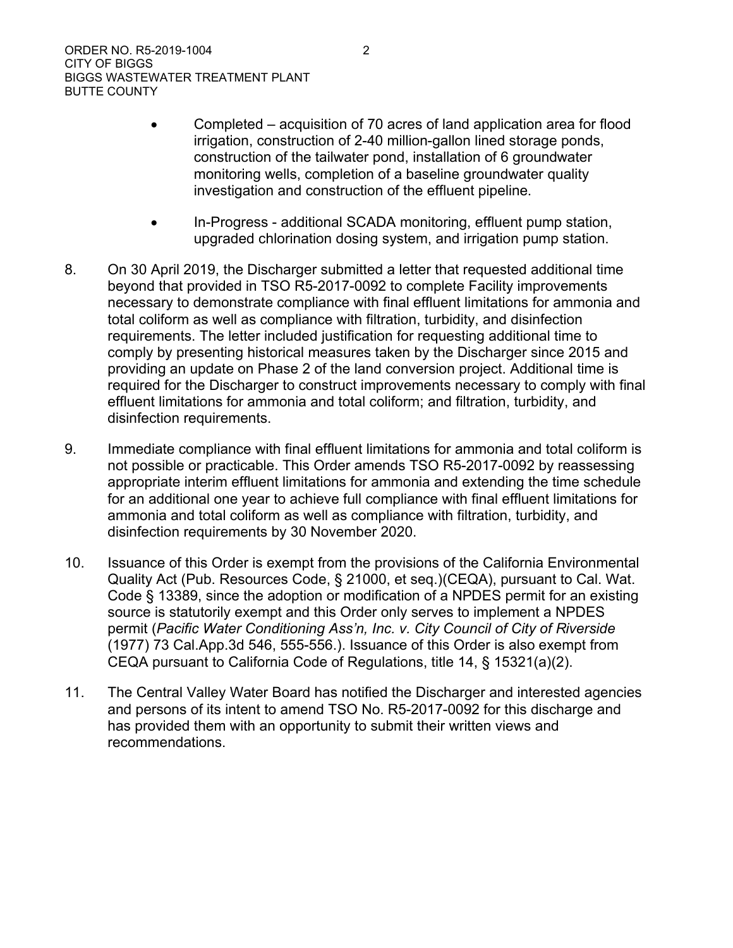- · Completed acquisition of 70 acres of land application area for flood irrigation, construction of 2-40 million-gallon lined storage ponds, construction of the tailwater pond, installation of 6 groundwater monitoring wells, completion of a baseline groundwater quality investigation and construction of the effluent pipeline.
- · In-Progress additional SCADA monitoring, effluent pump station, upgraded chlorination dosing system, and irrigation pump station.
- 8. On 30 April 2019, the Discharger submitted a letter that requested additional time beyond that provided in TSO R5-2017-0092 to complete Facility improvements necessary to demonstrate compliance with final effluent limitations for ammonia and total coliform as well as compliance with filtration, turbidity, and disinfection requirements. The letter included justification for requesting additional time to comply by presenting historical measures taken by the Discharger since 2015 and providing an update on Phase 2 of the land conversion project. Additional time is required for the Discharger to construct improvements necessary to comply with final effluent limitations for ammonia and total coliform; and filtration, turbidity, and disinfection requirements.
- 9. Immediate compliance with final effluent limitations for ammonia and total coliform is not possible or practicable. This Order amends TSO R5-2017-0092 by reassessing appropriate interim effluent limitations for ammonia and extending the time schedule for an additional one year to achieve full compliance with final effluent limitations for ammonia and total coliform as well as compliance with filtration, turbidity, and disinfection requirements by 30 November 2020.
- 10. Issuance of this Order is exempt from the provisions of the California Environmental Quality Act (Pub. Resources Code, § 21000, et seq.)(CEQA), pursuant to Cal. Wat. Code § 13389, since the adoption or modification of a NPDES permit for an existing source is statutorily exempt and this Order only serves to implement a NPDES permit (*Pacific Water Conditioning Ass'n, Inc. v. City Council of City of Riverside* (1977) 73 Cal.App.3d 546, 555-556.). Issuance of this Order is also exempt from CEQA pursuant to California Code of Regulations, title 14, § 15321(a)(2).
- 11. The Central Valley Water Board has notified the Discharger and interested agencies and persons of its intent to amend TSO No. R5-2017-0092 for this discharge and has provided them with an opportunity to submit their written views and recommendations.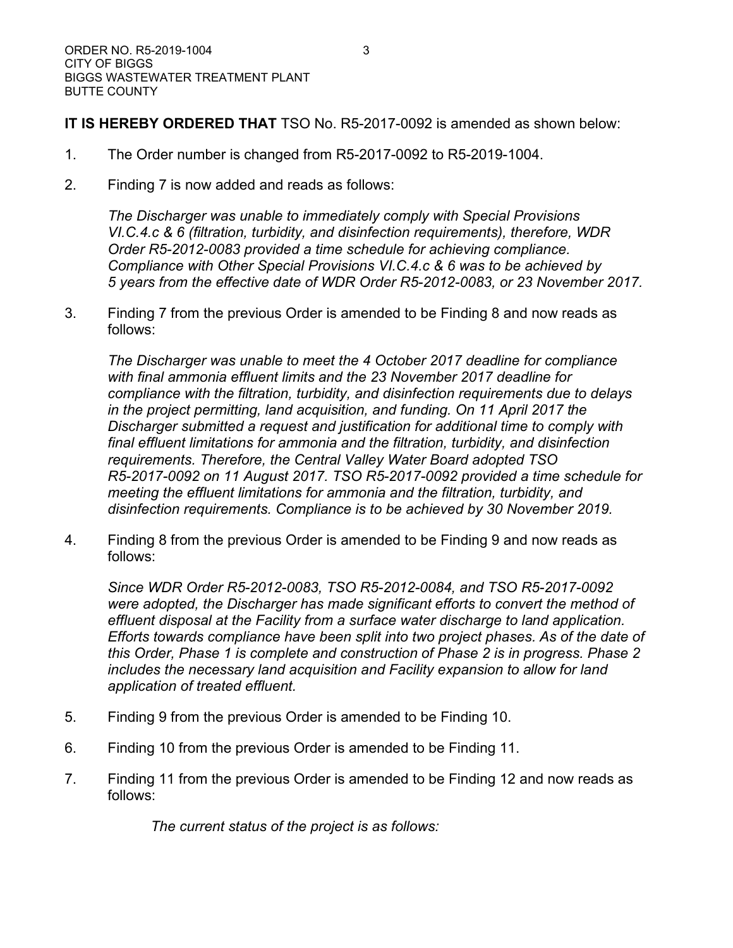**IT IS HEREBY ORDERED THAT** TSO No. R5-2017-0092 is amended as shown below:

- 1. The Order number is changed from R5-2017-0092 to R5-2019-1004.
- 2. Finding 7 is now added and reads as follows:

*The Discharger was unable to immediately comply with Special Provisions VI.C.4.c & 6 (filtration, turbidity, and disinfection requirements), therefore, WDR Order R5-2012-0083 provided a time schedule for achieving compliance. Compliance with Other Special Provisions VI.C.4.c & 6 was to be achieved by 5 years from the effective date of WDR Order R5-2012-0083, or 23 November 2017.*

3. Finding 7 from the previous Order is amended to be Finding 8 and now reads as follows:

*The Discharger was unable to meet the 4 October 2017 deadline for compliance with final ammonia effluent limits and the 23 November 2017 deadline for compliance with the filtration, turbidity, and disinfection requirements due to delays in the project permitting, land acquisition, and funding. On 11 April 2017 the Discharger submitted a request and justification for additional time to comply with final effluent limitations for ammonia and the filtration, turbidity, and disinfection requirements. Therefore, the Central Valley Water Board adopted TSO R5-2017-0092 on 11 August 2017. TSO R5-2017-0092 provided a time schedule for meeting the effluent limitations for ammonia and the filtration, turbidity, and disinfection requirements. Compliance is to be achieved by 30 November 2019.*

4. Finding 8 from the previous Order is amended to be Finding 9 and now reads as follows:

*Since WDR Order R5-2012-0083, TSO R5-2012-0084, and TSO R5-2017-0092 were adopted, the Discharger has made significant efforts to convert the method of effluent disposal at the Facility from a surface water discharge to land application. Efforts towards compliance have been split into two project phases. As of the date of this Order, Phase 1 is complete and construction of Phase 2 is in progress. Phase 2 includes the necessary land acquisition and Facility expansion to allow for land application of treated effluent.*

- 5. Finding 9 from the previous Order is amended to be Finding 10.
- 6. Finding 10 from the previous Order is amended to be Finding 11.
- 7. Finding 11 from the previous Order is amended to be Finding 12 and now reads as follows:

*The current status of the project is as follows:*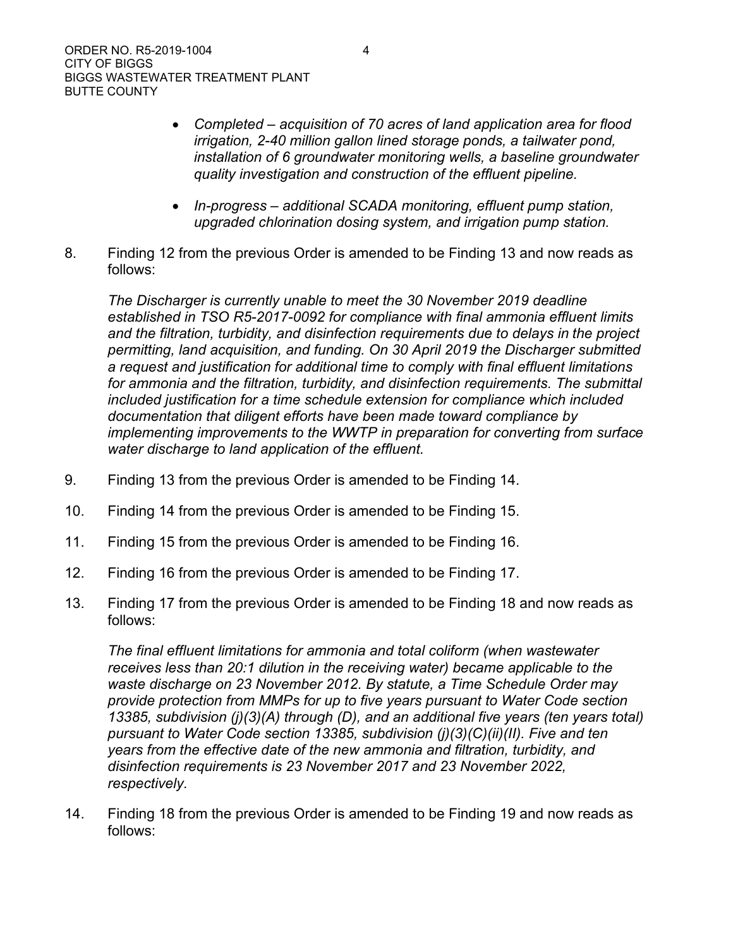- · *Completed – acquisition of 70 acres of land application area for flood irrigation, 2-40 million gallon lined storage ponds, a tailwater pond, installation of 6 groundwater monitoring wells, a baseline groundwater quality investigation and construction of the effluent pipeline.*
- · *In-progress – additional SCADA monitoring, effluent pump station, upgraded chlorination dosing system, and irrigation pump station.*
- 8. Finding 12 from the previous Order is amended to be Finding 13 and now reads as follows:

*The Discharger is currently unable to meet the 30 November 2019 deadline established in TSO R5-2017-0092 for compliance with final ammonia effluent limits and the filtration, turbidity, and disinfection requirements due to delays in the project permitting, land acquisition, and funding. On 30 April 2019 the Discharger submitted a request and justification for additional time to comply with final effluent limitations*  for ammonia and the filtration, turbidity, and disinfection requirements. The submittal *included justification for a time schedule extension for compliance which included documentation that diligent efforts have been made toward compliance by implementing improvements to the WWTP in preparation for converting from surface water discharge to land application of the effluent.*

- 9. Finding 13 from the previous Order is amended to be Finding 14.
- 10. Finding 14 from the previous Order is amended to be Finding 15.
- 11. Finding 15 from the previous Order is amended to be Finding 16.
- 12. Finding 16 from the previous Order is amended to be Finding 17.
- 13. Finding 17 from the previous Order is amended to be Finding 18 and now reads as follows:

*The final effluent limitations for ammonia and total coliform (when wastewater receives less than 20:1 dilution in the receiving water) became applicable to the waste discharge on 23 November 2012. By statute, a Time Schedule Order may provide protection from MMPs for up to five years pursuant to Water Code section 13385, subdivision (j)(3)(A) through (D), and an additional five years (ten years total) pursuant to Water Code section 13385, subdivision (j)(3)(C)(ii)(II). Five and ten years from the effective date of the new ammonia and filtration, turbidity, and disinfection requirements is 23 November 2017 and 23 November 2022, respectively.*

14. Finding 18 from the previous Order is amended to be Finding 19 and now reads as follows: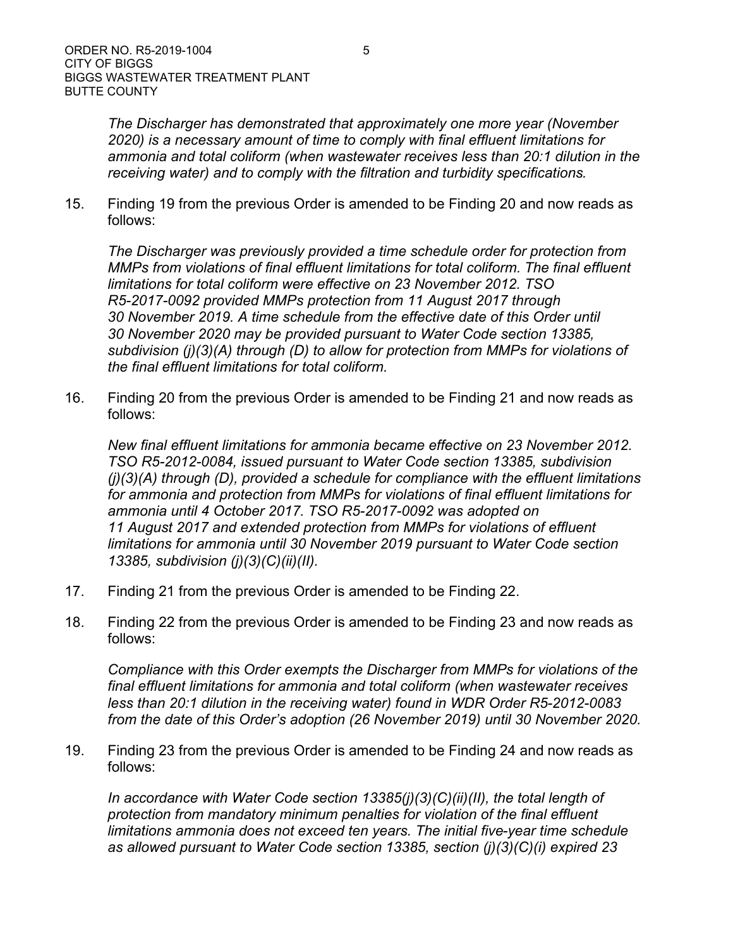*The Discharger has demonstrated that approximately one more year (November 2020) is a necessary amount of time to comply with final effluent limitations for ammonia and total coliform (when wastewater receives less than 20:1 dilution in the receiving water) and to comply with the filtration and turbidity specifications.*

15. Finding 19 from the previous Order is amended to be Finding 20 and now reads as follows:

*The Discharger was previously provided a time schedule order for protection from MMPs from violations of final effluent limitations for total coliform. The final effluent limitations for total coliform were effective on 23 November 2012. TSO R5-2017-0092 provided MMPs protection from 11 August 2017 through 30 November 2019. A time schedule from the effective date of this Order until 30 November 2020 may be provided pursuant to Water Code section 13385, subdivision (j)(3)(A) through (D) to allow for protection from MMPs for violations of the final effluent limitations for total coliform.*

16. Finding 20 from the previous Order is amended to be Finding 21 and now reads as follows:

*New final effluent limitations for ammonia became effective on 23 November 2012. TSO R5-2012-0084, issued pursuant to Water Code section 13385, subdivision (j)(3)(A) through (D), provided a schedule for compliance with the effluent limitations for ammonia and protection from MMPs for violations of final effluent limitations for ammonia until 4 October 2017. TSO R5-2017-0092 was adopted on 11 August 2017 and extended protection from MMPs for violations of effluent limitations for ammonia until 30 November 2019 pursuant to Water Code section 13385, subdivision (j)(3)(C)(ii)(II).*

- 17. Finding 21 from the previous Order is amended to be Finding 22.
- 18. Finding 22 from the previous Order is amended to be Finding 23 and now reads as follows:

*Compliance with this Order exempts the Discharger from MMPs for violations of the final effluent limitations for ammonia and total coliform (when wastewater receives less than 20:1 dilution in the receiving water) found in WDR Order R5-2012-0083 from the date of this Order's adoption (26 November 2019) until 30 November 2020.*

19. Finding 23 from the previous Order is amended to be Finding 24 and now reads as follows:

*In accordance with Water Code section 13385(j)(3)(C)(ii)(II), the total length of protection from mandatory minimum penalties for violation of the final effluent limitations ammonia does not exceed ten years. The initial five-year time schedule as allowed pursuant to Water Code section 13385, section (j)(3)(C)(i) expired 23*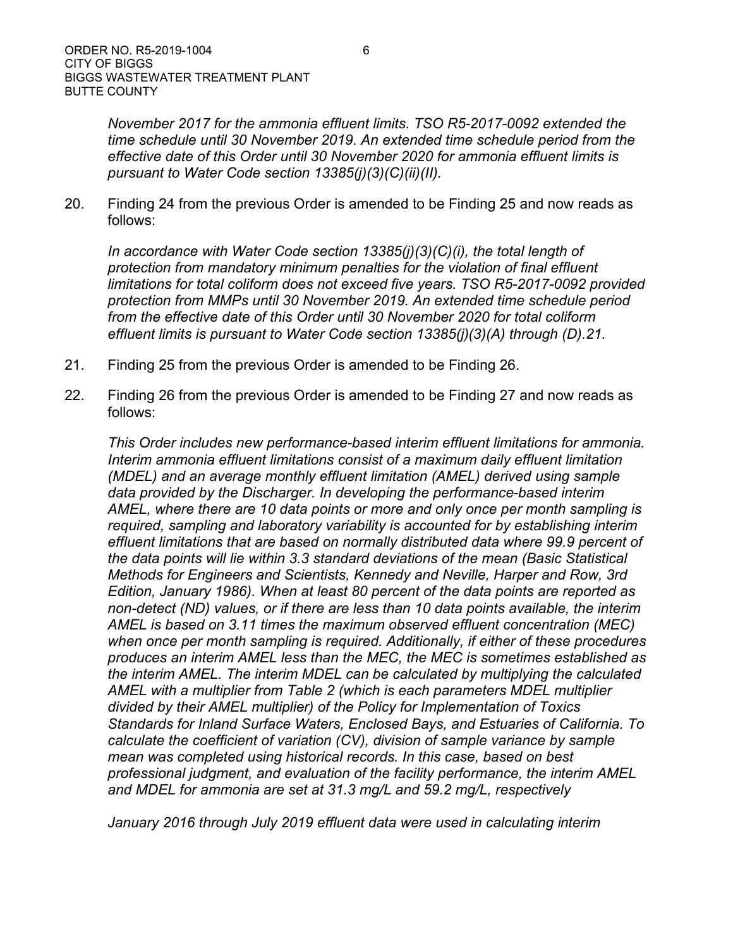*November 2017 for the ammonia effluent limits. TSO R5-2017-0092 extended the time schedule until 30 November 2019. An extended time schedule period from the effective date of this Order until 30 November 2020 for ammonia effluent limits is pursuant to Water Code section 13385(j)(3)(C)(ii)(II).*

20. Finding 24 from the previous Order is amended to be Finding 25 and now reads as follows:

*In accordance with Water Code section 13385(j)(3)(C)(i), the total length of protection from mandatory minimum penalties for the violation of final effluent limitations for total coliform does not exceed five years. TSO R5-2017-0092 provided protection from MMPs until 30 November 2019. An extended time schedule period from the effective date of this Order until 30 November 2020 for total coliform effluent limits is pursuant to Water Code section 13385(j)(3)(A) through (D).21.*

- 21. Finding 25 from the previous Order is amended to be Finding 26.
- 22. Finding 26 from the previous Order is amended to be Finding 27 and now reads as follows:

*This Order includes new performance-based interim effluent limitations for ammonia. Interim ammonia effluent limitations consist of a maximum daily effluent limitation (MDEL) and an average monthly effluent limitation (AMEL) derived using sample data provided by the Discharger. In developing the performance-based interim AMEL, where there are 10 data points or more and only once per month sampling is required, sampling and laboratory variability is accounted for by establishing interim effluent limitations that are based on normally distributed data where 99.9 percent of the data points will lie within 3.3 standard deviations of the mean (Basic Statistical Methods for Engineers and Scientists, Kennedy and Neville, Harper and Row, 3rd Edition, January 1986). When at least 80 percent of the data points are reported as non-detect (ND) values, or if there are less than 10 data points available, the interim AMEL is based on 3.11 times the maximum observed effluent concentration (MEC) when once per month sampling is required. Additionally, if either of these procedures produces an interim AMEL less than the MEC, the MEC is sometimes established as the interim AMEL. The interim MDEL can be calculated by multiplying the calculated AMEL with a multiplier from Table 2 (which is each parameters MDEL multiplier divided by their AMEL multiplier) of the Policy for Implementation of Toxics Standards for Inland Surface Waters, Enclosed Bays, and Estuaries of California. To calculate the coefficient of variation (CV), division of sample variance by sample mean was completed using historical records. In this case, based on best professional judgment, and evaluation of the facility performance, the interim AMEL and MDEL for ammonia are set at 31.3 mg/L and 59.2 mg/L, respectively*

*January 2016 through July 2019 effluent data were used in calculating interim*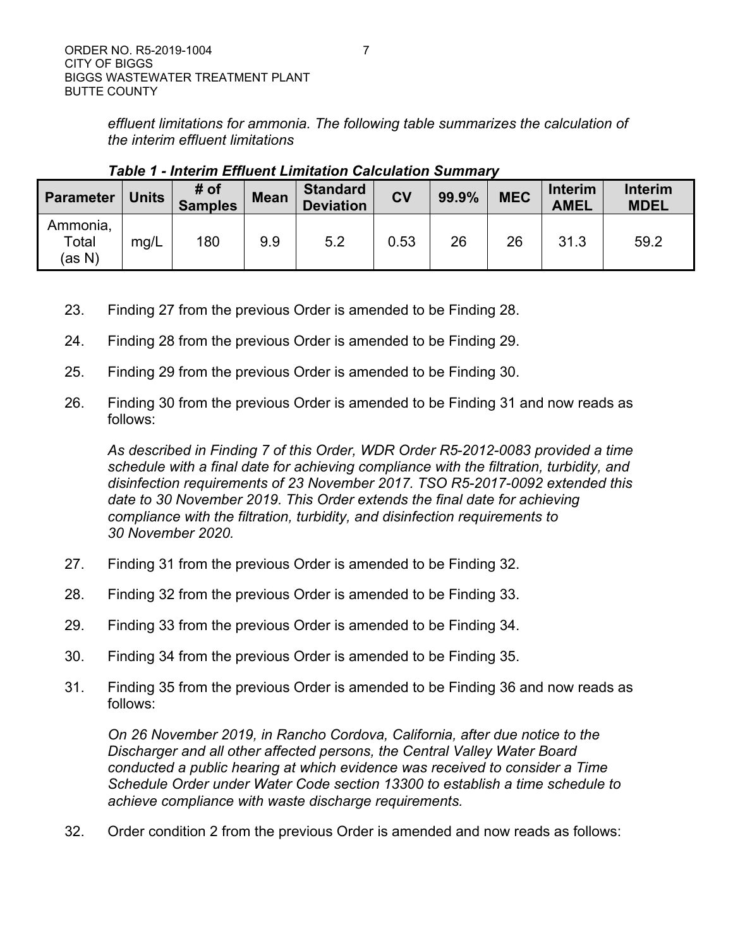*effluent limitations for ammonia. The following table summarizes the calculation of the interim effluent limitations*

| <b>Parameter</b>            | <b>Units</b> | # of<br><b>Samples</b> | <b>Mean</b> | <b>Standard</b><br><b>Deviation</b> | <b>CV</b> | 99.9% | <b>MEC</b> | <b>Interim</b><br><b>AMEL</b> | <b>Interim</b><br><b>MDEL</b> |
|-----------------------------|--------------|------------------------|-------------|-------------------------------------|-----------|-------|------------|-------------------------------|-------------------------------|
| Ammonia,<br>Total<br>(as N) | mg/L         | 180                    | 9.9         | 5.2                                 | 0.53      | 26    | 26         | 31.3                          | 59.2                          |

*Table 1 - Interim Effluent Limitation Calculation Summary*

- 23. Finding 27 from the previous Order is amended to be Finding 28.
- 24. Finding 28 from the previous Order is amended to be Finding 29.
- 25. Finding 29 from the previous Order is amended to be Finding 30.
- 26. Finding 30 from the previous Order is amended to be Finding 31 and now reads as follows:

*As described in Finding 7 of this Order, WDR Order R5-2012-0083 provided a time schedule with a final date for achieving compliance with the filtration, turbidity, and disinfection requirements of 23 November 2017. TSO R5-2017-0092 extended this date to 30 November 2019. This Order extends the final date for achieving compliance with the filtration, turbidity, and disinfection requirements to 30 November 2020.*

- 27. Finding 31 from the previous Order is amended to be Finding 32.
- 28. Finding 32 from the previous Order is amended to be Finding 33.
- 29. Finding 33 from the previous Order is amended to be Finding 34.
- 30. Finding 34 from the previous Order is amended to be Finding 35.
- 31. Finding 35 from the previous Order is amended to be Finding 36 and now reads as follows:

*On 26 November 2019, in Rancho Cordova, California, after due notice to the Discharger and all other affected persons, the Central Valley Water Board conducted a public hearing at which evidence was received to consider a Time Schedule Order under Water Code section 13300 to establish a time schedule to achieve compliance with waste discharge requirements.*

32. Order condition 2 from the previous Order is amended and now reads as follows: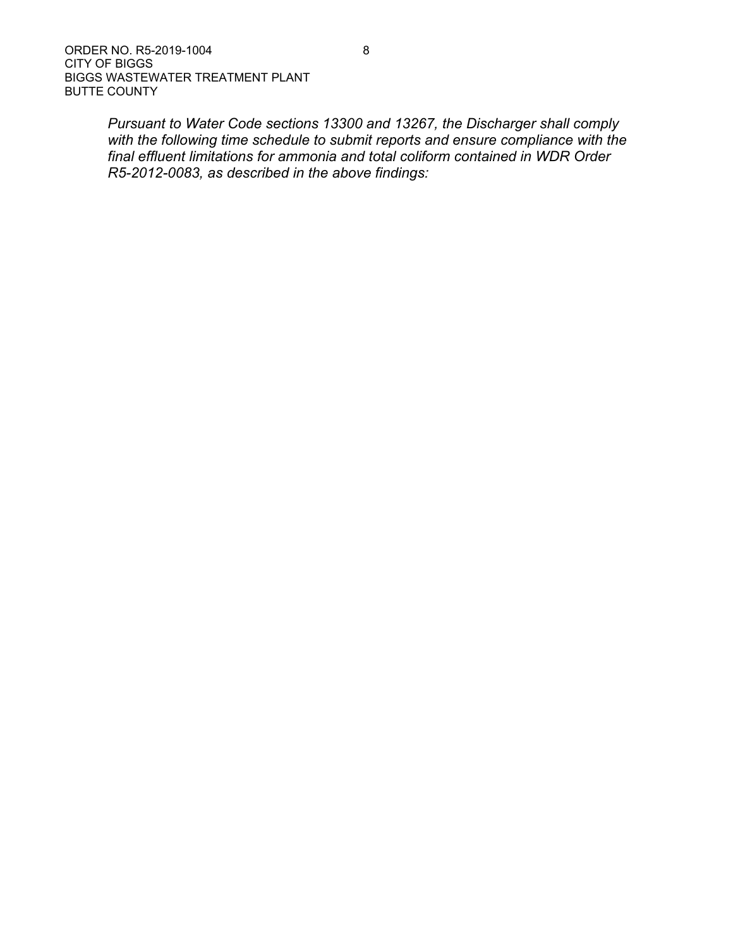*Pursuant to Water Code sections 13300 and 13267, the Discharger shall comply with the following time schedule to submit reports and ensure compliance with the final effluent limitations for ammonia and total coliform contained in WDR Order R5-2012-0083, as described in the above findings:*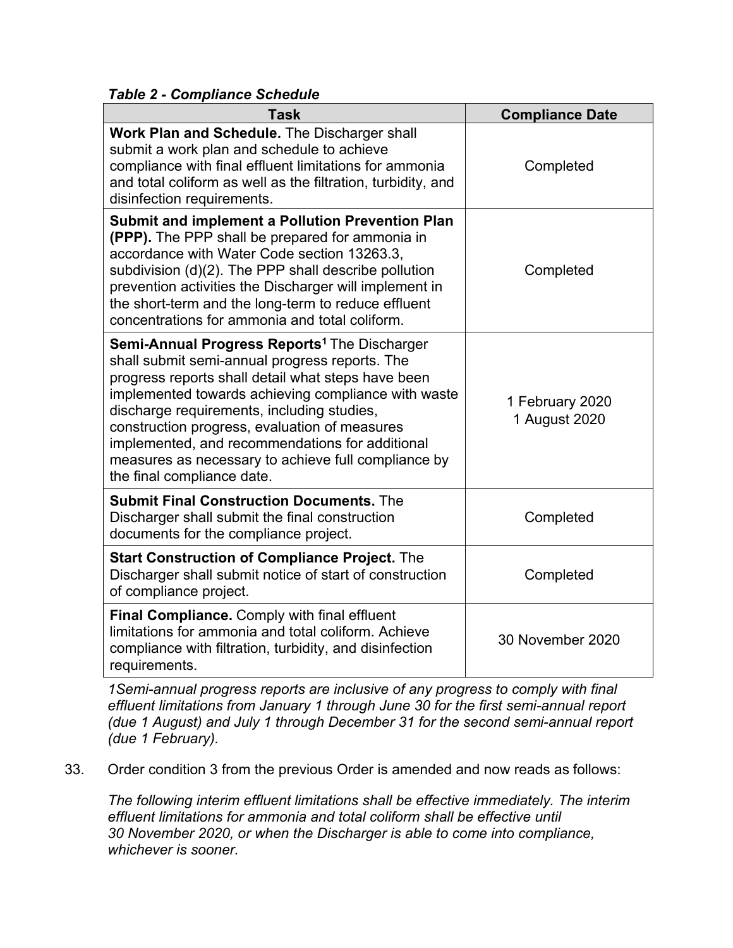*Table 2 - Compliance Schedule*

| <b>Task</b>                                                                                                                                                                                                                                                                                                                                                                                                                                                          | <b>Compliance Date</b>           |  |  |
|----------------------------------------------------------------------------------------------------------------------------------------------------------------------------------------------------------------------------------------------------------------------------------------------------------------------------------------------------------------------------------------------------------------------------------------------------------------------|----------------------------------|--|--|
| Work Plan and Schedule. The Discharger shall<br>submit a work plan and schedule to achieve<br>compliance with final effluent limitations for ammonia<br>and total coliform as well as the filtration, turbidity, and<br>disinfection requirements.                                                                                                                                                                                                                   | Completed                        |  |  |
| <b>Submit and implement a Pollution Prevention Plan</b><br>(PPP). The PPP shall be prepared for ammonia in<br>accordance with Water Code section 13263.3.<br>subdivision (d)(2). The PPP shall describe pollution<br>prevention activities the Discharger will implement in<br>the short-term and the long-term to reduce effluent<br>concentrations for ammonia and total coliform.                                                                                 | Completed                        |  |  |
| <b>Semi-Annual Progress Reports<sup>1</sup> The Discharger</b><br>shall submit semi-annual progress reports. The<br>progress reports shall detail what steps have been<br>implemented towards achieving compliance with waste<br>discharge requirements, including studies,<br>construction progress, evaluation of measures<br>implemented, and recommendations for additional<br>measures as necessary to achieve full compliance by<br>the final compliance date. | 1 February 2020<br>1 August 2020 |  |  |
| <b>Submit Final Construction Documents. The</b><br>Discharger shall submit the final construction<br>documents for the compliance project.                                                                                                                                                                                                                                                                                                                           | Completed                        |  |  |
| <b>Start Construction of Compliance Project.</b> The<br>Discharger shall submit notice of start of construction<br>of compliance project.                                                                                                                                                                                                                                                                                                                            | Completed                        |  |  |
| <b>Final Compliance.</b> Comply with final effluent<br>limitations for ammonia and total coliform. Achieve<br>compliance with filtration, turbidity, and disinfection<br>requirements.                                                                                                                                                                                                                                                                               | 30 November 2020                 |  |  |

*1Semi-annual progress reports are inclusive of any progress to comply with final effluent limitations from January 1 through June 30 for the first semi-annual report (due 1 August) and July 1 through December 31 for the second semi-annual report (due 1 February).*

33. Order condition 3 from the previous Order is amended and now reads as follows:

*The following interim effluent limitations shall be effective immediately. The interim effluent limitations for ammonia and total coliform shall be effective until 30 November 2020, or when the Discharger is able to come into compliance, whichever is sooner.*